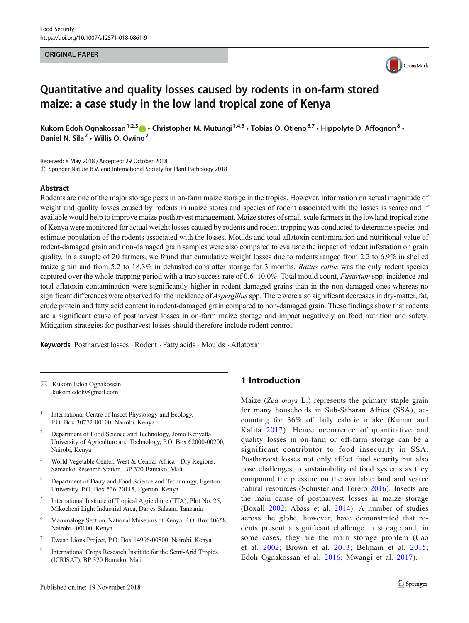### ORIGINAL PAPER



# Quantitative and quality losses caused by rodents in on-farm stored maize: a case study in the low land tropical zone of Kenya

Kukom Edoh Ognakossan<sup>1,2,3</sup>  $\bullet \cdot$  Christopher M. Mutungi<sup>1,4,5</sup>  $\cdot$  Tobias O. Otieno<sup>6,7</sup>  $\cdot$  Hippolyte D. Affognon<sup>8</sup>  $\cdot$ Daniel N. Sila<sup>2</sup> · Willis O. Owino<sup>2</sup>

Received: 8 May 2018 /Accepted: 29 October 2018  $\copyright$  Springer Nature B.V. and International Society for Plant Pathology 2018

#### Abstract

Rodents are one of the major storage pests in on-farm maize storage in the tropics. However, information on actual magnitude of weight and quality losses caused by rodents in maize stores and species of rodent associated with the losses is scarce and if available would help to improve maize postharvest management. Maize stores of small-scale farmers in the lowland tropical zone of Kenya were monitored for actual weight losses caused by rodents and rodent trapping was conducted to determine species and estimate population of the rodents associated with the losses. Moulds and total aflatoxin contamination and nutritional value of rodent-damaged grain and non-damaged grain samples were also compared to evaluate the impact of rodent infestation on grain quality. In a sample of 20 farmers, we found that cumulative weight losses due to rodents ranged from 2.2 to 6.9% in shelled maize grain and from 5.2 to 18.3% in dehusked cobs after storage for 3 months. Rattus rattus was the only rodent species captured over the whole trapping period with a trap success rate of 0.6–10.0%. Total mould count, *Fusarium* spp. incidence and total aflatoxin contamination were significantly higher in rodent-damaged grains than in the non-damaged ones whereas no significant differences were observed for the incidence of *Aspergillus* spp. There were also significant decreases in dry-matter, fat, crude protein and fatty acid content in rodent-damaged grain compared to non-damaged grain. These findings show that rodents are a significant cause of postharvest losses in on-farm maize storage and impact negatively on food nutrition and safety. Mitigation strategies for postharvest losses should therefore include rodent control.

Keywords Postharvest losses · Rodent · Fatty acids · Moulds · Aflatoxin

 $\boxtimes$  Kukom Edoh Ognakossan kukom.edoh@gmail.com

- <sup>1</sup> International Centre of Insect Physiology and Ecology, P.O. Box 30772-00100, Nairobi, Kenya
- <sup>2</sup> Department of Food Science and Technology, Jomo Kenyatta University of Agriculture and Technology, P.O. Box 62000-00200, Nairobi, Kenya
- <sup>3</sup> World Vegetable Center, West & Central Africa Dry Regions, Samanko Research Station, BP 320 Bamako, Mali
- <sup>4</sup> Department of Dairy and Food Science and Technology, Egerton University, P.O. Box 536-20115, Egerton, Kenya
- <sup>5</sup> International Institute of Tropical Agriculture (IITA), Plot No. 25, Mikocheni Light Industrial Area, Dar es Salaam, Tanzania
- <sup>6</sup> Mammalogy Section, National Museums of Kenya, P.O. Box 40658, Nairobi –00100, Kenya
- <sup>7</sup> Ewaso Lions Project, P.O. Box 14996-00800, Nairobi, Kenya
- <sup>8</sup> International Crops Research Institute for the Semi-Arid Tropics (ICRISAT), BP 320 Bamako, Mali

# 1 Introduction

Maize (Zea mays L.) represents the primary staple grain for many households in Sub-Saharan Africa (SSA), accounting for 36% of daily calorie intake (Kumar and Kalita 2017). Hence occurrence of quantitative and quality losses in on-farm or off-farm storage can be a significant contributor to food insecurity in SSA. Postharvest losses not only affect food security but also pose challenges to sustainability of food systems as they compound the pressure on the available land and scarce natural resources (Schuster and Torero 2016). Insects are the main cause of postharvest losses in maize storage (Boxall 2002; Abass et al. 2014). A number of studies across the globe, however, have demonstrated that rodents present a significant challenge in storage and, in some cases, they are the main storage problem (Cao et al. 2002; Brown et al. 2013; Belmain et al. 2015; Edoh Ognakossan et al. 2016; Mwangi et al. 2017).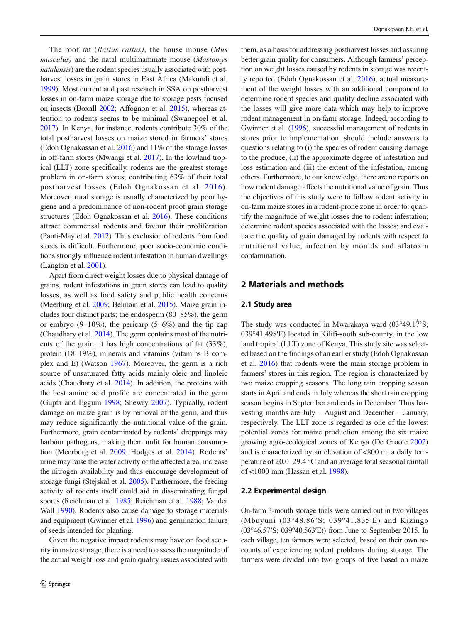The roof rat (Rattus rattus), the house mouse (Mus musculus) and the natal multimammate mouse (Mastomys natalensis) are the rodent species usually associated with postharvest losses in grain stores in East Africa (Makundi et al. 1999). Most current and past research in SSA on postharvest losses in on-farm maize storage due to storage pests focused on insects (Boxall 2002; Affognon et al. 2015), whereas attention to rodents seems to be minimal (Swanepoel et al. 2017). In Kenya, for instance, rodents contribute 30% of the total postharvest losses on maize stored in farmers' stores (Edoh Ognakossan et al. 2016) and 11% of the storage losses in off-farm stores (Mwangi et al. 2017). In the lowland tropical (LLT) zone specifically, rodents are the greatest storage problem in on-farm stores, contributing 63% of their total postharvest losses (Edoh Ognakossan et al. 2016). Moreover, rural storage is usually characterized by poor hygiene and a predominance of non-rodent proof grain storage structures (Edoh Ognakossan et al. 2016). These conditions attract commensal rodents and favour their proliferation (Panti-May et al. 2012). Thus exclusion of rodents from food stores is difficult. Furthermore, poor socio-economic conditions strongly influence rodent infestation in human dwellings (Langton et al. 2001).

Apart from direct weight losses due to physical damage of grains, rodent infestations in grain stores can lead to quality losses, as well as food safety and public health concerns (Meerburg et al. 2009; Belmain et al. 2015). Maize grain includes four distinct parts; the endosperm (80–85%), the germ or embryo  $(9-10\%)$ , the pericarp  $(5-6\%)$  and the tip cap (Chaudhary et al. 2014). The germ contains most of the nutrients of the grain; it has high concentrations of fat (33%), protein (18–19%), minerals and vitamins (vitamins B complex and E) (Watson 1967). Moreover, the germ is a rich source of unsaturated fatty acids mainly oleic and linoleic acids (Chaudhary et al. 2014). In addition, the proteins with the best amino acid profile are concentrated in the germ (Gupta and Eggum 1998; Shewry 2007). Typically, rodent damage on maize grain is by removal of the germ, and thus may reduce significantly the nutritional value of the grain. Furthermore, grain contaminated by rodents' droppings may harbour pathogens, making them unfit for human consumption (Meerburg et al. 2009; Hodges et al. 2014). Rodents' urine may raise the water activity of the affected area, increase the nitrogen availability and thus encourage development of storage fungi (Stejskal et al. 2005). Furthermore, the feeding activity of rodents itself could aid in disseminating fungal spores (Reichman et al. 1985; Reichman et al. 1988; Vander Wall 1990). Rodents also cause damage to storage materials and equipment (Gwinner et al. 1996) and germination failure of seeds intended for planting.

Given the negative impact rodents may have on food security in maize storage, there is a need to assess the magnitude of the actual weight loss and grain quality issues associated with

them, as a basis for addressing postharvest losses and assuring better grain quality for consumers. Although farmers' perception on weight losses caused by rodents in storage was recently reported (Edoh Ognakossan et al. 2016), actual measurement of the weight losses with an additional component to determine rodent species and quality decline associated with the losses will give more data which may help to improve rodent management in on-farm storage. Indeed, according to Gwinner et al. (1996), successful management of rodents in stores prior to implementation, should include answers to questions relating to (i) the species of rodent causing damage to the produce, (ii) the approximate degree of infestation and loss estimation and (iii) the extent of the infestation, among others. Furthermore, to our knowledge, there are no reports on how rodent damage affects the nutritional value of grain. Thus the objectives of this study were to follow rodent activity in on-farm maize stores in a rodent-prone zone in order to: quantify the magnitude of weight losses due to rodent infestation; determine rodent species associated with the losses; and evaluate the quality of grain damaged by rodents with respect to nutritional value, infection by moulds and aflatoxin contamination.

# 2 Materials and methods

### 2.1 Study area

The study was conducted in Mwarakaya ward (03°49.17<sup>'</sup>S; 039°41.498′E) located in Kilifi-south sub-county, in the low land tropical (LLT) zone of Kenya. This study site was selected based on the findings of an earlier study (Edoh Ognakossan et al. 2016) that rodents were the main storage problem in farmers' stores in this region. The region is characterized by two maize cropping seasons. The long rain cropping season starts in April and ends in July whereas the short rain cropping season begins in September and ends in December. Thus harvesting months are July – August and December – January, respectively. The LLT zone is regarded as one of the lowest potential zones for maize production among the six maize growing agro-ecological zones of Kenya (De Groote 2002) and is characterized by an elevation of <800 m, a daily temperature of 20.0–29.4 °C and an average total seasonal rainfall of <1000 mm (Hassan et al. 1998).

#### 2.2 Experimental design

On-farm 3-month storage trials were carried out in two villages (Mbuyuni (03°48.86'S; 039°41.835′E) and Kizingo (03°46.57'S; 039°40.563′E)) from June to September 2015. In each village, ten farmers were selected, based on their own accounts of experiencing rodent problems during storage. The farmers were divided into two groups of five based on maize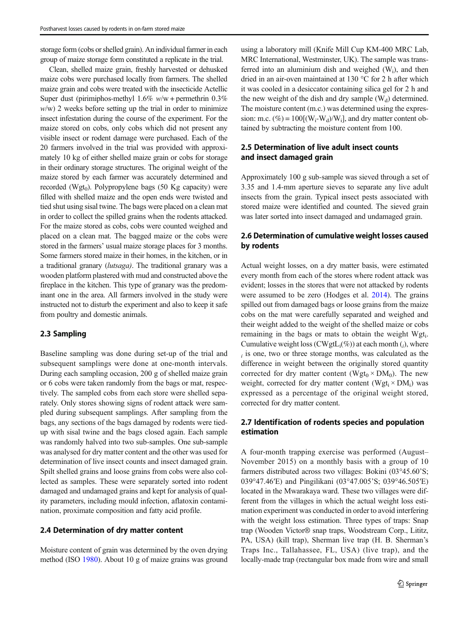storage form (cobs or shelled grain). An individual farmer in each group of maize storage form constituted a replicate in the trial.

Clean, shelled maize grain, freshly harvested or dehusked maize cobs were purchased locally from farmers. The shelled maize grain and cobs were treated with the insecticide Actellic Super dust (pirimiphos-methyl  $1.6\%$  w/w + permethrin 0.3%  $w/w$ ) 2 weeks before setting up the trial in order to minimize insect infestation during the course of the experiment. For the maize stored on cobs, only cobs which did not present any visible insect or rodent damage were purchased. Each of the 20 farmers involved in the trial was provided with approximately 10 kg of either shelled maize grain or cobs for storage in their ordinary storage structures. The original weight of the maize stored by each farmer was accurately determined and recorded (Wgt<sub>0</sub>). Polypropylene bags (50 Kg capacity) were filled with shelled maize and the open ends were twisted and tied shut using sisal twine. The bags were placed on a clean mat in order to collect the spilled grains when the rodents attacked. For the maize stored as cobs, cobs were counted weighed and placed on a clean mat. The bagged maize or the cobs were stored in the farmers' usual maize storage places for 3 months. Some farmers stored maize in their homes, in the kitchen, or in a traditional granary (lutsaga). The traditional granary was a wooden platform plastered with mud and constructed above the fireplace in the kitchen. This type of granary was the predominant one in the area. All farmers involved in the study were instructed not to disturb the experiment and also to keep it safe from poultry and domestic animals.

### 2.3 Sampling

Baseline sampling was done during set-up of the trial and subsequent samplings were done at one-month intervals. During each sampling occasion, 200 g of shelled maize grain or 6 cobs were taken randomly from the bags or mat, respectively. The sampled cobs from each store were shelled separately. Only stores showing signs of rodent attack were sampled during subsequent samplings. After sampling from the bags, any sections of the bags damaged by rodents were tiedup with sisal twine and the bags closed again. Each sample was randomly halved into two sub-samples. One sub-sample was analysed for dry matter content and the other was used for determination of live insect counts and insect damaged grain. Spilt shelled grains and loose grains from cobs were also collected as samples. These were separately sorted into rodent damaged and undamaged grains and kept for analysis of quality parameters, including mould infection, aflatoxin contamination, proximate composition and fatty acid profile.

# 2.4 Determination of dry matter content

Moisture content of grain was determined by the oven drying method (ISO 1980). About 10 g of maize grains was ground

using a laboratory mill (Knife Mill Cup KM-400 MRC Lab, MRC International, Westminster, UK). The sample was transferred into an aluminium dish and weighed  $(W_i)$ , and then dried in an air-oven maintained at 130 °C for 2 h after which it was cooled in a desiccator containing silica gel for 2 h and the new weight of the dish and dry sample  $(W_d)$  determined. The moisture content (m.c.) was determined using the expression: m.c.  $(\%)=100[(W_i-W_d)/W_i]$ , and dry matter content obtained by subtracting the moisture content from 100.

# 2.5 Determination of live adult insect counts and insect damaged grain

Approximately 100 g sub-sample was sieved through a set of 3.35 and 1.4-mm aperture sieves to separate any live adult insects from the grain. Typical insect pests associated with stored maize were identified and counted. The sieved grain was later sorted into insect damaged and undamaged grain.

# 2.6 Determination of cumulative weight losses caused by rodents

Actual weight losses, on a dry matter basis, were estimated every month from each of the stores where rodent attack was evident; losses in the stores that were not attacked by rodents were assumed to be zero (Hodges et al. 2014). The grains spilled out from damaged bags or loose grains from the maize cobs on the mat were carefully separated and weighed and their weight added to the weight of the shelled maize or cobs remaining in the bags or mats to obtain the weight Wgt. Cumulative weight loss (CWgtL<sub>i</sub>(%)) at each month  $(j)$ , where  $i$  is one, two or three storage months, was calculated as the difference in weight between the originally stored quantity corrected for dry matter content ( $Wgt_0 \times DM_0$ ). The new weight, corrected for dry matter content ( $Wgt_i \times DM_i$ ) was expressed as a percentage of the original weight stored, corrected for dry matter content.

# 2.7 Identification of rodents species and population estimation

A four-month trapping exercise was performed (August– November 2015) on a monthly basis with a group of 10 farmers distributed across two villages: Bokini (03°45.60'S; 039°47.46′E) and Pingilikani (03°47.005'S; 039°46.505′E) located in the Mwarakaya ward. These two villages were different from the villages in which the actual weight loss estimation experiment was conducted in order to avoid interfering with the weight loss estimation. Three types of traps: Snap trap (Wooden Victor® snap traps, Woodstream Corp., Lititz, PA, USA) (kill trap), Sherman live trap (H. B. Sherman's Traps Inc., Tallahassee, FL, USA) (live trap), and the locally-made trap (rectangular box made from wire and small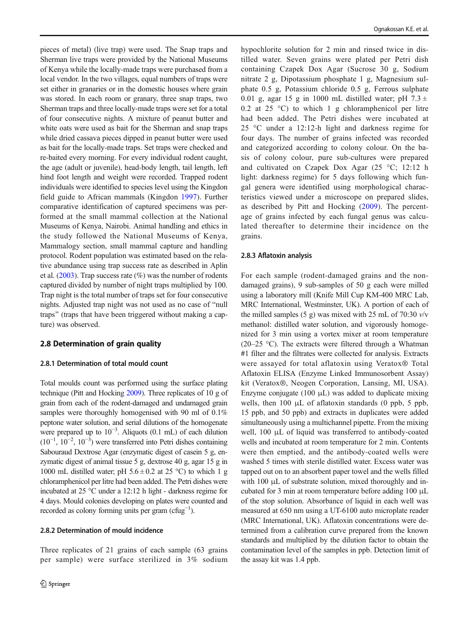pieces of metal) (live trap) were used. The Snap traps and Sherman live traps were provided by the National Museums of Kenya while the locally-made traps were purchased from a local vendor. In the two villages, equal numbers of traps were set either in granaries or in the domestic houses where grain was stored. In each room or granary, three snap traps, two Sherman traps and three locally-made traps were set for a total of four consecutive nights. A mixture of peanut butter and white oats were used as bait for the Sherman and snap traps while dried cassava pieces dipped in peanut butter were used as bait for the locally-made traps. Set traps were checked and re-baited every morning. For every individual rodent caught, the age (adult or juvenile), head-body length, tail length, left hind foot length and weight were recorded. Trapped rodent individuals were identified to species level using the Kingdon field guide to African mammals (Kingdon 1997). Further comparative identification of captured specimens was performed at the small mammal collection at the National Museums of Kenya, Nairobi. Animal handling and ethics in the study followed the National Museums of Kenya, Mammalogy section, small mammal capture and handling protocol. Rodent population was estimated based on the relative abundance using trap success rate as described in Aplin et al.  $(2003)$ . Trap success rate  $(\%)$  was the number of rodents captured divided by number of night traps multiplied by 100. Trap night is the total number of traps set for four consecutive nights. Adjusted trap night was not used as no case of "null traps" (traps that have been triggered without making a capture) was observed.

# 2.8 Determination of grain quality

#### 2.8.1 Determination of total mould count

Total moulds count was performed using the surface plating technique (Pitt and Hocking 2009). Three replicates of 10 g of grain from each of the rodent-damaged and undamaged grain samples were thoroughly homogenised with 90 ml of 0.1% peptone water solution, and serial dilutions of the homogenate were prepared up to 10−<sup>3</sup> . Aliquots (0.1 mL) of each dilution  $(10^{-1}, 10^{-2}, 10^{-3})$  were transferred into Petri dishes containing Sabouraud Dextrose Agar (enzymatic digest of casein 5 g, enzymatic digest of animal tissue 5 g, dextrose 40 g, agar 15 g in 1000 mL distilled water; pH  $5.6 \pm 0.2$  at 25 °C) to which 1 g chloramphenicol per litre had been added. The Petri dishes were incubated at 25 °C under a 12:12 h light - darkness regime for 4 days. Mould colonies developing on plates were counted and recorded as colony forming units per gram ( $c$ fug<sup>-1</sup>).

# 2.8.2 Determination of mould incidence

Three replicates of 21 grains of each sample (63 grains per sample) were surface sterilized in 3% sodium hypochlorite solution for 2 min and rinsed twice in distilled water. Seven grains were plated per Petri dish containing Czapek Dox Agar (Sucrose 30 g, Sodium nitrate 2 g, Dipotassium phosphate 1 g, Magnesium sulphate 0.5 g, Potassium chloride 0.5 g, Ferrous sulphate 0.01 g, agar 15 g in 1000 mL distilled water; pH  $7.3 \pm$ 0.2 at 25  $\degree$ C) to which 1 g chloramphenicol per litre had been added. The Petri dishes were incubated at 25 °C under a 12:12-h light and darkness regime for four days. The number of grains infected was recorded and categorized according to colony colour. On the basis of colony colour, pure sub-cultures were prepared and cultivated on Czapek Dox Agar (25 °C; 12:12 h light: darkness regime) for 5 days following which fungal genera were identified using morphological characteristics viewed under a microscope on prepared slides, as described by Pitt and Hocking (2009). The percentage of grains infected by each fungal genus was calculated thereafter to determine their incidence on the grains.

### 2.8.3 Aflatoxin analysis

For each sample (rodent-damaged grains and the nondamaged grains), 9 sub-samples of 50 g each were milled using a laboratory mill (Knife Mill Cup KM-400 MRC Lab, MRC International, Westminster, UK). A portion of each of the milled samples (5 g) was mixed with 25 mL of 70:30  $v/v$ methanol: distilled water solution, and vigorously homogenized for 3 min using a vortex mixer at room temperature (20–25 °C). The extracts were filtered through a Whatman #1 filter and the filtrates were collected for analysis. Extracts were assayed for total aflatoxin using Veratox® Total Aflatoxin ELISA (Enzyme Linked Immunosorbent Assay) kit (Veratox®, Neogen Corporation, Lansing, MI, USA). Enzyme conjugate  $(100 \mu L)$  was added to duplicate mixing wells, then 100 μL of aflatoxin standards (0 ppb, 5 ppb, 15 ppb, and 50 ppb) and extracts in duplicates were added simultaneously using a multichannel pipette. From the mixing well, 100 μL of liquid was transferred to antibody-coated wells and incubated at room temperature for 2 min. Contents were then emptied, and the antibody-coated wells were washed 5 times with sterile distilled water. Excess water was tapped out on to an absorbent paper towel and the wells filled with 100 μL of substrate solution, mixed thoroughly and incubated for 3 min at room temperature before adding 100 μL of the stop solution. Absorbance of liquid in each well was measured at 650 nm using a UT-6100 auto microplate reader (MRC International, UK). Aflatoxin concentrations were determined from a calibration curve prepared from the known standards and multiplied by the dilution factor to obtain the contamination level of the samples in ppb. Detection limit of the assay kit was 1.4 ppb.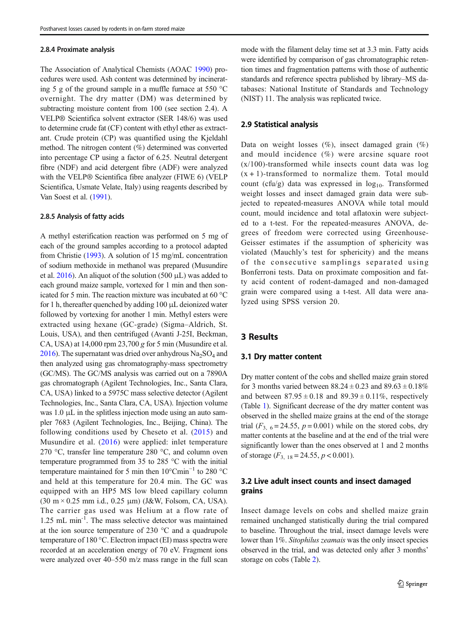#### 2.8.4 Proximate analysis

The Association of Analytical Chemists (AOAC 1990) procedures were used. Ash content was determined by incinerating 5 g of the ground sample in a muffle furnace at 550 °C overnight. The dry matter (DM) was determined by subtracting moisture content from 100 (see section 2.4). A VELP® Scientifica solvent extractor (SER 148/6) was used to determine crude fat (CF) content with ethyl ether as extractant. Crude protein (CP) was quantified using the Kjeldahl method. The nitrogen content (%) determined was converted into percentage CP using a factor of 6.25. Neutral detergent fibre (NDF) and acid detergent fibre (ADF) were analyzed with the VELP® Scientifica fibre analyzer (FIWE 6) (VELP Scientifica, Usmate Velate, Italy) using reagents described by Van Soest et al. (1991).

#### 2.8.5 Analysis of fatty acids

A methyl esterification reaction was performed on 5 mg of each of the ground samples according to a protocol adapted from Christie (1993). A solution of 15 mg/mL concentration of sodium methoxide in methanol was prepared (Musundire et al.  $2016$ ). An aliquot of the solution (500  $\mu$ L) was added to each ground maize sample, vortexed for 1 min and then sonicated for 5 min. The reaction mixture was incubated at 60 °C for 1 h, thereafter quenched by adding 100 μL deionized water followed by vortexing for another 1 min. Methyl esters were extracted using hexane (GC-grade) (Sigma–Aldrich, St. Louis, USA), and then centrifuged (Avanti J-25I, Beckman, CA, USA) at  $14,000$  rpm  $23,700$  g for 5 min (Musundire et al. 2016). The supernatant was dried over anhydrous  $Na<sub>2</sub>SO<sub>4</sub>$  and then analyzed using gas chromatography-mass spectrometry (GC/MS). The GC/MS analysis was carried out on a 7890A gas chromatograph (Agilent Technologies, Inc., Santa Clara, CA, USA) linked to a 5975C mass selective detector (Agilent Technologies, Inc., Santa Clara, CA, USA). Injection volume was 1.0 μL in the splitless injection mode using an auto sampler 7683 (Agilent Technologies, Inc., Beijing, China). The following conditions used by Cheseto et al. (2015) and Musundire et al. (2016) were applied: inlet temperature 270 °C, transfer line temperature 280 °C, and column oven temperature programmed from 35 to 285 °C with the initial temperature maintained for 5 min then 10°Cmin−<sup>1</sup> to 280 °C and held at this temperature for 20.4 min. The GC was equipped with an HP5 MS low bleed capillary column (30 m × 0.25 mm i.d., 0.25 μm) (J&W, Folsom, CA, USA). The carrier gas used was Helium at a flow rate of 1.25 mL min-1. The mass selective detector was maintained at the ion source temperature of 230 °C and a quadrupole temperature of 180 °C. Electron impact (EI) mass spectra were recorded at an acceleration energy of 70 eV. Fragment ions were analyzed over 40–550 m/z mass range in the full scan

### 2.9 Statistical analysis

Data on weight losses  $(\%)$ , insect damaged grain  $(\%)$ and mould incidence (%) were arcsine square root  $(x/100)$ -transformed while insects count data was log  $(x + 1)$ -transformed to normalize them. Total mould count (cfu/g) data was expressed in  $log_{10}$ . Transformed weight losses and insect damaged grain data were subjected to repeated-measures ANOVA while total mould count, mould incidence and total aflatoxin were subjected to a t-test. For the repeated-measures ANOVA, degrees of freedom were corrected using Greenhouse-Geisser estimates if the assumption of sphericity was violated (Mauchly's test for sphericity) and the means of the consecutive samplings separated using Bonferroni tests. Data on proximate composition and fatty acid content of rodent-damaged and non-damaged grain were compared using a t-test. All data were analyzed using SPSS version 20.

# 3 Results

### 3.1 Dry matter content

Dry matter content of the cobs and shelled maize grain stored for 3 months varied between  $88.24 \pm 0.23$  and  $89.63 \pm 0.18\%$ and between  $87.95 \pm 0.18$  and  $89.39 \pm 0.11\%$ , respectively (Table 1). Significant decrease of the dry matter content was observed in the shelled maize grains at the end of the storage trial  $(F_{3, 6} = 24.55, p = 0.001)$  while on the stored cobs, dry matter contents at the baseline and at the end of the trial were significantly lower than the ones observed at 1 and 2 months of storage  $(F_{3, 18} = 24.55, p < 0.001)$ .

# 3.2 Live adult insect counts and insect damaged grains

Insect damage levels on cobs and shelled maize grain remained unchanged statistically during the trial compared to baseline. Throughout the trial, insect damage levels were lower than 1%. Sitophilus zeamais was the only insect species observed in the trial, and was detected only after 3 months' storage on cobs (Table 2).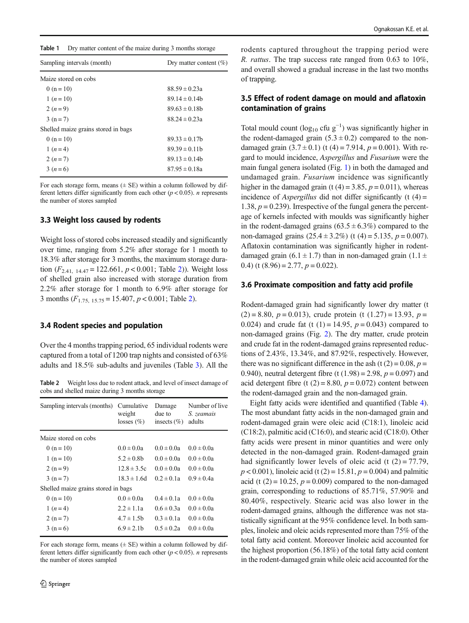| Table 1 |  | Dry matter content of the maize during 3 months storage |  |  |  |  |
|---------|--|---------------------------------------------------------|--|--|--|--|
|---------|--|---------------------------------------------------------|--|--|--|--|

| Sampling intervals (month)          | Dry matter content $(\% )$ |
|-------------------------------------|----------------------------|
| Maize stored on cobs                |                            |
| 0 ( $n = 10$ )                      | $88.59 \pm 0.23a$          |
| $1(n=10)$                           | $89.14 \pm 0.14$           |
| $2(n=9)$                            | $89.63 \pm 0.18$           |
| $3(n=7)$                            | $88.24 \pm 0.23a$          |
| Shelled maize grains stored in bags |                            |
| $0(n=10)$                           | $89.33 \pm 0.17$ b         |
| 1 $(n=4)$                           | $89.39 \pm 0.11$ b         |
| $2(n=7)$                            | $89.13 \pm 0.14$           |
| $3(n=6)$                            | $87.95 \pm 0.18a$          |

For each storage form, means  $(\pm \text{ SE})$  within a column followed by different letters differ significantly from each other  $(p < 0.05)$ . *n* represents the number of stores sampled

### 3.3 Weight loss caused by rodents

Weight loss of stored cobs increased steadily and significantly over time, ranging from 5.2% after storage for 1 month to 18.3% after storage for 3 months, the maximum storage duration  $(F_{2,41, 14,47} = 122.661, p < 0.001$ ; Table 2)). Weight loss of shelled grain also increased with storage duration from 2.2% after storage for 1 month to 6.9% after storage for 3 months  $(F_{1.75, 15.75} = 15.407, p < 0.001$ ; Table 2).

### 3.4 Rodent species and population

Over the 4 months trapping period, 65 individual rodents were captured from a total of 1200 trap nights and consisted of 63% adults and 18.5% sub-adults and juveniles (Table 3). All the

Table 2 Weight loss due to rodent attack, and level of insect damage of cobs and shelled maize during 3 months storage

| Sampling intervals (months)         | Cumulative<br>weight<br>losses $(\% )$ | Damage<br>due to<br>insects $(\% )$ | Number of live<br>S. zeamais<br>adults |
|-------------------------------------|----------------------------------------|-------------------------------------|----------------------------------------|
| Maize stored on cobs                |                                        |                                     |                                        |
| 0 (n = 10)                          | $0.0 \pm 0.0a$                         | $0.0 \pm 0.0a$                      | $0.0 \pm 0.0a$                         |
| $1(n=10)$                           | $5.2 \pm 0.8$ b                        | $0.0 \pm 0.0a$                      | $0.0 \pm 0.0a$                         |
| $2(n=9)$                            | $12.8 \pm 3.5c$                        | $0.0 \pm 0.0a$                      | $0.0 \pm 0.0a$                         |
| $3(n=7)$                            | $18.3 \pm 1.6d$                        | $0.2 \pm 0.1a$                      | $0.9 \pm 0.4a$                         |
| Shelled maize grains stored in bags |                                        |                                     |                                        |
| $0(n=10)$                           | $0.0 \pm 0.0a$                         | $0.4 \pm 0.1a$                      | $0.0 \pm 0.0a$                         |
| 1 $(n=4)$                           | $2.2 \pm 1.1a$                         | $0.6 \pm 0.3a$                      | $0.0 \pm 0.0a$                         |
| $2(n=7)$                            | $4.7 \pm 1.5$ b                        | $0.3 \pm 0.1a$                      | $0.0 \pm 0.0a$                         |
| $3(n=6)$                            | $6.9 \pm 2.1$                          | $0.5 \pm 0.2a$                      | $0.0 \pm 0.0a$                         |

For each storage form, means  $(\pm \text{ SE})$  within a column followed by different letters differ significantly from each other  $(p < 0.05)$ . *n* represents the number of stores sampled

rodents captured throughout the trapping period were R. rattus. The trap success rate ranged from 0.63 to 10%, and overall showed a gradual increase in the last two months of trapping.

# 3.5 Effect of rodent damage on mould and aflatoxin contamination of grains

Total mould count ( $log_{10}$  cfu  $g^{-1}$ ) was significantly higher in the rodent-damaged grain  $(5.3 \pm 0.2)$  compared to the nondamaged grain  $(3.7 \pm 0.1)$  (t  $(4) = 7.914$ ,  $p = 0.001$ ). With regard to mould incidence, Aspergillus and Fusarium were the main fungal genera isolated (Fig. 1) in both the damaged and undamaged grain. Fusarium incidence was significantly higher in the damaged grain (t  $(4) = 3.85$ ,  $p = 0.011$ ), whereas incidence of Aspergillus did not differ significantly  $(t (4) =$ 1.38,  $p = 0.239$ ). Irrespective of the fungal genera the percentage of kernels infected with moulds was significantly higher in the rodent-damaged grains  $(63.5 \pm 6.3\%)$  compared to the non-damaged grains  $(25.4 \pm 3.2\%)$  (t (4) = 5.135, p = 0.007). Aflatoxin contamination was significantly higher in rodentdamaged grain (6.1  $\pm$  1.7) than in non-damaged grain (1.1  $\pm$ 0.4) (t  $(8.96) = 2.77$ ,  $p = 0.022$ ).

#### 3.6 Proximate composition and fatty acid profile

Rodent-damaged grain had significantly lower dry matter (t  $(2) = 8.80$ ,  $p = 0.013$ ), crude protein (t  $(1.27) = 13.93$ ,  $p =$ 0.024) and crude fat (t (1) = 14.95,  $p = 0.043$ ) compared to non-damaged grains (Fig. 2). The dry matter, crude protein and crude fat in the rodent-damaged grains represented reductions of 2.43%, 13.34%, and 87.92%, respectively. However, there was no significant difference in the ash (t  $(2) = 0.08$ ,  $p =$ 0.940), neutral detergent fibre (t  $(1.98) = 2.98$ ,  $p = 0.097$ ) and acid detergent fibre (t  $(2) = 8.80$ ,  $p = 0.072$ ) content between the rodent-damaged grain and the non-damaged grain.

Eight fatty acids were identified and quantified (Table 4). The most abundant fatty acids in the non-damaged grain and rodent-damaged grain were oleic acid (C18:1), linoleic acid (C18:2), palmitic acid (C16:0), and stearic acid (C18:0). Other fatty acids were present in minor quantities and were only detected in the non-damaged grain. Rodent-damaged grain had significantly lower levels of oleic acid (t  $(2) = 77.79$ ,  $p < 0.001$ ), linoleic acid (t (2) = 15.81,  $p = 0.004$ ) and palmitic acid (t  $(2) = 10.25$ ,  $p = 0.009$ ) compared to the non-damaged grain, corresponding to reductions of 85.71%, 57.90% and 80.40%, respectively. Stearic acid was also lower in the rodent-damaged grains, although the difference was not statistically significant at the 95% confidence level. In both samples, linoleic and oleic acids represented more than 75% of the total fatty acid content. Moreover linoleic acid accounted for the highest proportion (56.18%) of the total fatty acid content in the rodent-damaged grain while oleic acid accounted for the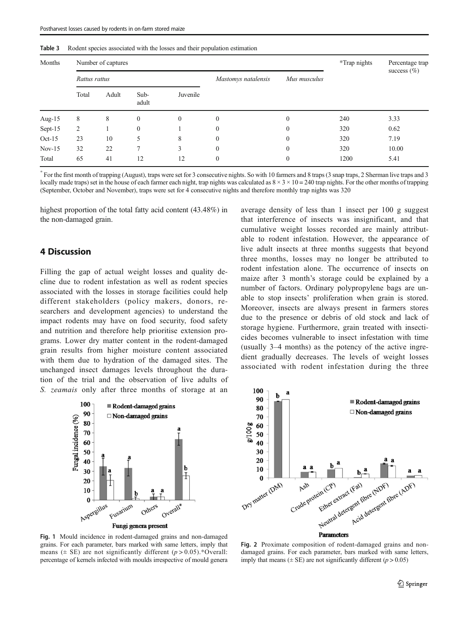| Table 3 |  |  |  |  |  |  |  |  | Rodent species associated with the losses and their population estimation |  |
|---------|--|--|--|--|--|--|--|--|---------------------------------------------------------------------------|--|
|---------|--|--|--|--|--|--|--|--|---------------------------------------------------------------------------|--|

| Months   |                | Number of captures | *Trap nights  | Percentage trap |                     |              |      |                 |
|----------|----------------|--------------------|---------------|-----------------|---------------------|--------------|------|-----------------|
|          | Rattus rattus  |                    |               |                 | Mastomys natalensis | Mus musculus |      | success $(\% )$ |
|          | Total          | Adult              | Sub-<br>adult | Juvenile        |                     |              |      |                 |
| Aug-15   | 8              | 8                  | $\mathbf{0}$  | $\mathbf{0}$    | $\mathbf{0}$        | $\mathbf{0}$ | 240  | 3.33            |
| Sept-15  | $\overline{c}$ |                    | $\mathbf{0}$  |                 | $\mathbf{0}$        | $\mathbf{0}$ | 320  | 0.62            |
| $Oct-15$ | 23             | 10                 | 5             | 8               | $\mathbf{0}$        | $\mathbf{0}$ | 320  | 7.19            |
| $Nov-15$ | 32             | 22                 | $\mathcal{I}$ | 3               | $\mathbf{0}$        | $\mathbf{0}$ | 320  | 10.00           |
| Total    | 65             | 41                 | 12            | 12              | $\mathbf{0}$        | $\mathbf{0}$ | 1200 | 5.41            |

\* For the first month of trapping (August), traps were set for 3 consecutive nights. So with 10 farmers and 8 traps (3 snap traps, 2 Sherman live traps and 3 locally made traps) set in the house of each farmer each night, trap nights was calculated as  $8 \times 3 \times 10 = 240$  trap nights. For the other months of trapping (September, October and November), traps were set for 4 consecutive nights and therefore monthly trap nights was 320

highest proportion of the total fatty acid content (43.48%) in the non-damaged grain.

# 4 Discussion

Filling the gap of actual weight losses and quality decline due to rodent infestation as well as rodent species associated with the losses in storage facilities could help different stakeholders (policy makers, donors, researchers and development agencies) to understand the impact rodents may have on food security, food safety and nutrition and therefore help prioritise extension programs. Lower dry matter content in the rodent-damaged grain results from higher moisture content associated with them due to hydration of the damaged sites. The unchanged insect damages levels throughout the duration of the trial and the observation of live adults of S. *zeamais* only after three months of storage at an



Fig. 1 Mould incidence in rodent-damaged grains and non-damaged grains. For each parameter, bars marked with same letters, imply that means ( $\pm$  SE) are not significantly different ( $p > 0.05$ ).\*Overall: percentage of kernels infected with moulds irrespective of mould genera average density of less than 1 insect per 100 g suggest that interference of insects was insignificant, and that cumulative weight losses recorded are mainly attributable to rodent infestation. However, the appearance of live adult insects at three months suggests that beyond three months, losses may no longer be attributed to rodent infestation alone. The occurrence of insects on maize after 3 month's storage could be explained by a number of factors. Ordinary polypropylene bags are unable to stop insects' proliferation when grain is stored. Moreover, insects are always present in farmers stores due to the presence or debris of old stock and lack of storage hygiene. Furthermore, grain treated with insecticides becomes vulnerable to insect infestation with time (usually 3–4 months) as the potency of the active ingredient gradually decreases. The levels of weight losses associated with rodent infestation during the three



Fig. 2 Proximate composition of rodent-damaged grains and nondamaged grains. For each parameter, bars marked with same letters, imply that means ( $\pm$  SE) are not significantly different ( $p > 0.05$ )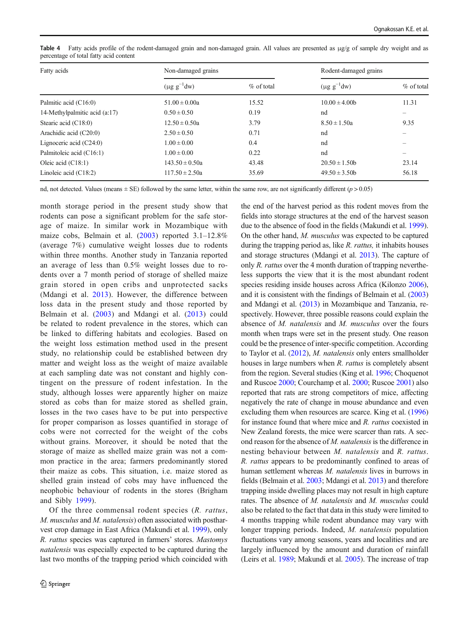| Fatty acids                   | Non-damaged grains |               | Rodent-damaged grains |                          |  |
|-------------------------------|--------------------|---------------|-----------------------|--------------------------|--|
|                               | $(\mu g g^{-1}dw)$ | $\%$ of total | $(\mu g g^{-1}dw)$    | % of total               |  |
| Palmitic acid (C16:0)         | $51.00 \pm 0.00a$  | 15.52         | $10.00 \pm 4.00$      | 11.31                    |  |
| 14-Methylpalmitic acid (a:17) | $0.50 \pm 0.50$    | 0.19          | nd                    | -                        |  |
| Stearic acid $(C18:0)$        | $12.50 \pm 0.50a$  | 3.79          | $8.50 \pm 1.50a$      | 9.35                     |  |
| Arachidic acid (C20:0)        | $2.50 \pm 0.50$    | 0.71          | nd                    |                          |  |
| Lignoceric acid $(C24:0)$     | $1.00 \pm 0.00$    | 0.4           | nd                    |                          |  |
| Palmitoleic acid (C16:1)      | $1.00 \pm 0.00$    | 0.22          | nd                    | $\overline{\phantom{0}}$ |  |
| Oleic acid $(C18:1)$          | $143.50 \pm 0.50a$ | 43.48         | $20.50 \pm 1.50$      | 23.14                    |  |
| Linoleic acid $(C18:2)$       | $117.50 \pm 2.50a$ | 35.69         | $49.50 \pm 3.50$      | 56.18                    |  |

Table 4 Fatty acids profile of the rodent-damaged grain and non-damaged grain. All values are presented as μg/g of sample dry weight and as percentage of total fatty acid content

nd, not detected. Values (means  $\pm$  SE) followed by the same letter, within the same row, are not significantly different ( $p$  > 0.05)

month storage period in the present study show that rodents can pose a significant problem for the safe storage of maize. In similar work in Mozambique with maize cobs, Belmain et al. (2003) reported 3.1–12.8% (average 7%) cumulative weight losses due to rodents within three months. Another study in Tanzania reported an average of less than 0.5% weight losses due to rodents over a 7 month period of storage of shelled maize grain stored in open cribs and unprotected sacks (Mdangi et al. 2013). However, the difference between loss data in the present study and those reported by Belmain et al. (2003) and Mdangi et al. (2013) could be related to rodent prevalence in the stores, which can be linked to differing habitats and ecologies. Based on the weight loss estimation method used in the present study, no relationship could be established between dry matter and weight loss as the weight of maize available at each sampling date was not constant and highly contingent on the pressure of rodent infestation. In the study, although losses were apparently higher on maize stored as cobs than for maize stored as shelled grain, losses in the two cases have to be put into perspective for proper comparison as losses quantified in storage of cobs were not corrected for the weight of the cobs without grains. Moreover, it should be noted that the storage of maize as shelled maize grain was not a common practice in the area; farmers predominantly stored their maize as cobs. This situation, i.e. maize stored as shelled grain instead of cobs may have influenced the neophobic behaviour of rodents in the stores (Brigham and Sibly 1999).

Of the three commensal rodent species (R. rattus, M. musculus and M. natalensis) often associated with postharvest crop damage in East Africa (Makundi et al. 1999), only R. rattus species was captured in farmers' stores. Mastomys natalensis was especially expected to be captured during the last two months of the trapping period which coincided with the end of the harvest period as this rodent moves from the fields into storage structures at the end of the harvest season due to the absence of food in the fields (Makundi et al. 1999). On the other hand, M. musculus was expected to be captured during the trapping period as, like R. rattus, it inhabits houses and storage structures (Mdangi et al. 2013). The capture of only  $R$ . *rattus* over the 4 month duration of trapping nevertheless supports the view that it is the most abundant rodent species residing inside houses across Africa (Kilonzo 2006), and it is consistent with the findings of Belmain et al. (2003) and Mdangi et al. (2013) in Mozambique and Tanzania, respectively. However, three possible reasons could explain the absence of M. natalensis and M. musculus over the fours month when traps were set in the present study. One reason could be the presence of inter-specific competition. According to Taylor et al. (2012), M. natalensis only enters smallholder houses in large numbers when R. *rattus* is completely absent from the region. Several studies (King et al. 1996; Choquenot and Ruscoe 2000; Courchamp et al. 2000; Ruscoe 2001) also reported that rats are strong competitors of mice, affecting negatively the rate of change in mouse abundance and even excluding them when resources are scarce. King et al. (1996) for instance found that where mice and R. rattus coexisted in New Zealand forests, the mice were scarcer than rats. A second reason for the absence of  $M$ . *natalensis* is the difference in nesting behaviour between M. natalensis and R. rattus. R. rattus appears to be predominantly confined to areas of human settlement whereas M. natalensis lives in burrows in fields (Belmain et al. 2003; Mdangi et al. 2013) and therefore trapping inside dwelling places may not result in high capture rates. The absence of M. natalensis and M. musculus could also be related to the fact that data in this study were limited to 4 months trapping while rodent abundance may vary with longer trapping periods. Indeed, M. natalensis population fluctuations vary among seasons, years and localities and are largely influenced by the amount and duration of rainfall (Leirs et al. 1989; Makundi et al. 2005). The increase of trap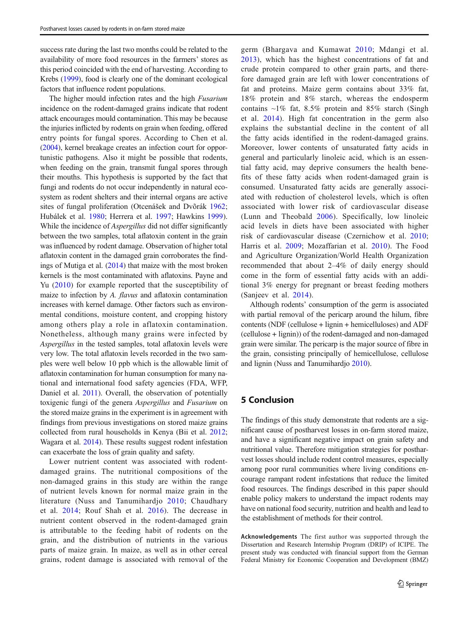success rate during the last two months could be related to the availability of more food resources in the farmers' stores as this period coincided with the end of harvesting. According to Krebs (1999), food is clearly one of the dominant ecological factors that influence rodent populations.

The higher mould infection rates and the high Fusarium incidence on the rodent-damaged grains indicate that rodent attack encourages mould contamination. This may be because the injuries inflicted by rodents on grain when feeding, offered entry points for fungal spores. According to Chen et al. (2004), kernel breakage creates an infection court for opportunistic pathogens. Also it might be possible that rodents, when feeding on the grain, transmit fungal spores through their mouths. This hypothesis is supported by the fact that fungi and rodents do not occur independently in natural ecosystem as rodent shelters and their internal organs are active sites of fungal proliferation (Otcenášek and Dvõrák 1962; Hubálek et al. 1980; Herrera et al. 1997; Hawkins 1999). While the incidence of *Aspergillus* did not differ significantly between the two samples, total aflatoxin content in the grain was influenced by rodent damage. Observation of higher total aflatoxin content in the damaged grain corroborates the findings of Mutiga et al. (2014) that maize with the most broken kernels is the most contaminated with aflatoxins. Payne and Yu (2010) for example reported that the susceptibility of maize to infection by A. flavus and aflatoxin contamination increases with kernel damage. Other factors such as environmental conditions, moisture content, and cropping history among others play a role in aflatoxin contamination. Nonetheless, although many grains were infected by Aspergillus in the tested samples, total aflatoxin levels were very low. The total aflatoxin levels recorded in the two samples were well below 10 ppb which is the allowable limit of aflatoxin contamination for human consumption for many national and international food safety agencies (FDA, WFP, Daniel et al. 2011). Overall, the observation of potentially toxigenic fungi of the genera Aspergillus and Fusarium on the stored maize grains in the experiment is in agreement with findings from previous investigations on stored maize grains collected from rural households in Kenya (Bii et al. 2012; Wagara et al. 2014). These results suggest rodent infestation can exacerbate the loss of grain quality and safety.

Lower nutrient content was associated with rodentdamaged grains. The nutritional compositions of the non-damaged grains in this study are within the range of nutrient levels known for normal maize grain in the literature (Nuss and Tanumihardjo 2010; Chaudhary et al. 2014; Rouf Shah et al. 2016). The decrease in nutrient content observed in the rodent-damaged grain is attributable to the feeding habit of rodents on the grain, and the distribution of nutrients in the various parts of maize grain. In maize, as well as in other cereal grains, rodent damage is associated with removal of the germ (Bhargava and Kumawat 2010; Mdangi et al. 2013), which has the highest concentrations of fat and crude protein compared to other grain parts, and therefore damaged grain are left with lower concentrations of fat and proteins. Maize germ contains about 33% fat, 18% protein and 8% starch, whereas the endosperm contains  $\sim$ 1% fat, 8.5% protein and 85% starch (Singh et al. 2014). High fat concentration in the germ also explains the substantial decline in the content of all the fatty acids identified in the rodent-damaged grains. Moreover, lower contents of unsaturated fatty acids in general and particularly linoleic acid, which is an essential fatty acid, may deprive consumers the health benefits of these fatty acids when rodent-damaged grain is consumed. Unsaturated fatty acids are generally associated with reduction of cholesterol levels, which is often associated with lower risk of cardiovascular disease (Lunn and Theobald 2006). Specifically, low linoleic acid levels in diets have been associated with higher risk of cardiovascular disease (Czernichow et al. 2010; Harris et al. 2009; Mozaffarian et al. 2010). The Food and Agriculture Organization/World Health Organization recommended that about 2–4% of daily energy should come in the form of essential fatty acids with an additional 3% energy for pregnant or breast feeding mothers (Sanjeev et al. 2014).

Although rodents' consumption of the germ is associated with partial removal of the pericarp around the hilum, fibre contents (NDF (cellulose + lignin + hemicelluloses) and ADF (cellulose + lignin)) of the rodent-damaged and non-damaged grain were similar. The pericarp is the major source of fibre in the grain, consisting principally of hemicellulose, cellulose and lignin (Nuss and Tanumihardjo 2010).

# 5 Conclusion

The findings of this study demonstrate that rodents are a significant cause of postharvest losses in on-farm stored maize, and have a significant negative impact on grain safety and nutritional value. Therefore mitigation strategies for postharvest losses should include rodent control measures, especially among poor rural communities where living conditions encourage rampant rodent infestations that reduce the limited food resources. The findings described in this paper should enable policy makers to understand the impact rodents may have on national food security, nutrition and health and lead to the establishment of methods for their control.

Acknowledgements The first author was supported through the Dissertation and Research Internship Program (DRIP) of ICIPE. The present study was conducted with financial support from the German Federal Ministry for Economic Cooperation and Development (BMZ)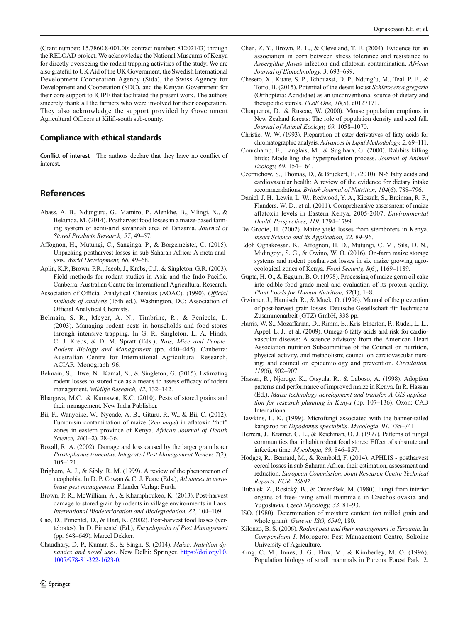(Grant number: 15.7860.8-001.00; contract number: 81202143) through the RELOAD project. We acknowledge the National Museums of Kenya for directly overseeing the rodent trapping activities of the study. We are also grateful to UK Aid of the UK Government, the Swedish International Development Cooperation Agency (Sida), the Swiss Agency for Development and Cooperation (SDC), and the Kenyan Government for their core support to ICIPE that facilitated the present work. The authors sincerely thank all the farmers who were involved for their cooperation. They also acknowledge the support provided by Government Agricultural Officers at Kilifi-south sub-county.

### Compliance with ethical standards

Conflict of interest The authors declare that they have no conflict of interest.

# References

- Abass, A. B., Ndunguru, G., Mamiro, P., Alenkhe, B., Mlingi, N., & Bekunda, M. (2014). Postharvest food losses in a maize-based farming system of semi-arid savannah area of Tanzania. Journal of Stored Products Research, 57, 49–57.
- Affognon, H., Mutungi, C., Sanginga, P., & Borgemeister, C. (2015). Unpacking postharvest losses in sub-Saharan Africa: A meta-analysis. World Development, 66, 49–68.
- Aplin, K.P., Brown, P.R., Jacob, J., Krebs, C.J., & Singleton, G.R. (2003). Field methods for rodent studies in Asia and the Indo-Pacific. Canberra: Australian Centre for International Agricultural Research.
- Association of Official Analytical Chemists (AOAC). (1990). Official methods of analysis (15th ed.). Washington, DC: Association of Official Analytical Chemists.
- Belmain, S. R., Meyer, A. N., Timbrine, R., & Penicela, L. (2003). Managing rodent pests in households and food stores through intensive trapping. In G. R. Singleton, L. A. Hinds, C. J. Krebs, & D. M. Spratt (Eds.), Rats, Mice and People: Rodent Biology and Management (pp. 440–445). Canberra: Australian Centre for International Agricultural Research, ACIAR Monograph 96.
- Belmain, S., Htwe, N., Kamal, N., & Singleton, G. (2015). Estimating rodent losses to stored rice as a means to assess efficacy of rodent management. Wildlife Research, 42, 132–142.
- Bhargava, M.C., & Kumawat, K.C. (2010). Pests of stored grains and their management. New India Publisher.
- Bii, F., Wanyoike, W., Nyende, A. B., Gituru, R. W., & Bii, C. (2012). Fumonisin contamination of maize (Zea mays) in aflatoxin "hot" zones in eastern province of Kenya. African Journal of Health Science, 20(1-2), 28-36.
- Boxall, R. A. (2002). Damage and loss caused by the larger grain borer Prostephanus truncatus. Integrated Pest Management Review, 7(2), 105–121.
- Brigham, A. J., & Sibly, R. M. (1999). A review of the phenomenon of neophobia. In D. P. Cowan & C. J. Feare (Eds.), Advances in vertebrate pest management. Filander Verlag: Furth.
- Brown, P. R., McWilliam, A., & Khamphoukeo, K. (2013). Post-harvest damage to stored grain by rodents in village environments in Laos. International Biodeterioration and Biodegredation, 82, 104–109.
- Cao, D., Pimentel, D., & Hart, K. (2002). Post-harvest food losses (vertebrates). In D. Pimentel (Ed.), Encyclopedia of Pest Management (pp. 648–649). Marcel Dekker.
- Chaudhary, D. P., Kumar, S., & Singh, S. (2014). Maize: Nutrition dynamics and novel uses. New Delhi: Springer. https://doi.org/10. 1007/978-81-322-1623-0.
- Chen, Z. Y., Brown, R. L., & Cleveland, T. E. (2004). Evidence for an association in corn between stress tolerance and resistance to Aspergillus flavus infection and aflatoxin contamination. African Journal of Biotechnology, 3, 693–699.
- Cheseto, X., Kuate, S. P., Tchouassi, D. P., Ndung'u, M., Teal, P. E., & Torto, B. (2015). Potential of the desert locust Schistocerca gregaria (Orthoptera: Acrididae) as an unconventional source of dietary and therapeutic sterols. PLoS One, 10(5), e0127171.
- Choquenot, D., & Ruscoe, W. (2000). Mouse population eruptions in New Zealand forests: The role of population density and seed fall. Journal of Animal Ecology, 69, 1058–1070.
- Christie, W. W. (1993). Preparation of ester derivatives of fatty acids for chromatographic analysis. Advances in Lipid Methodology, 2, 69–111.
- Courchamp, F., Langlais, M., & Sugihara, G. (2000). Rabbits killing birds: Modelling the hyperpredation process. Journal of Animal Ecology, 69, 154–164.
- Czernichow, S., Thomas, D., & Bruckert, E. (2010). N-6 fatty acids and cardiovascular health: A review of the evidence for dietary intake recommendations. British Journal of Nutrition, 104(6), 788–796.
- Daniel, J. H., Lewis, L. W., Redwood, Y. A., Kieszak, S., Breiman, R. F., Flanders, W. D., et al. (2011). Comprehensive assessment of maize aflatoxin levels in Eastern Kenya, 2005-2007. Environmental Health Perspectives, 119, 1794–1799.
- De Groote, H. (2002). Maize yield losses from stemborers in Kenya. Insect Science and its Application, 22, 89–96.
- Edoh Ognakossan, K., Affognon, H. D., Mutungi, C. M., Sila, D. N., Midingoyi, S. G., & Owino, W. O. (2016). On-farm maize storage systems and rodent postharvest losses in six maize growing agroecological zones of Kenya. Food Security, 8(6), 1169-1189.
- Gupta, H. O., & Eggum, B. O. (1998). Processing of maize germ oil cake into edible food grade meal and evaluation of its protein quality. Plant Foods for Human Nutrition, 52(1), 1–8.
- Gwinner, J., Harnisch, R., & Muck, O. (1996). Manual of the prevention of post-harvest grain losses. Deutsche Gesellschaft für Technische Zusammenarbeit (GTZ) GmbH, 338 pp.
- Harris, W. S., Mozaffarian, D., Rimm, E., Kris-Etherton, P., Rudel, L. L., Appel, L. J., et al. (2009). Omega-6 fatty acids and risk for cardiovascular disease: A science advisory from the American Heart Association nutrition Subcommittee of the Council on nutrition, physical activity, and metabolism; council on cardiovascular nursing; and council on epidemiology and prevention. Circulation, 119(6), 902–907.
- Hassan, R., Njoroge, K., Otsyula, R., & Laboso, A. (1998). Adoption patterns and performance of improved maize in Kenya. In R. Hassan (Ed.), Maize technology development and transfer. A GIS application for research planning in Kenya (pp. 107–136). Oxon: CAB International.
- Hawkins, L. K. (1999). Microfungi associated with the banner-tailed kangaroo rat Dipodomys spectabilis. Mycologia, 91, 735–741.
- Herrera, J., Kramer, C. L., & Reichman, O. J. (1997). Patterns of fungal communities that inhabit rodent food stores: Effect of substrate and infection time. Mycologia, 89, 846–857.
- Hodges, R., Bernard, M., & Rembold, F. (2014). APHLIS postharvest cereal losses in sub-Saharan Africa, their estimation, assessment and reduction. European Commission, Joint Research Centre Technical Reports, EUR, 26897.
- Hubálek, Z., Rosický, B., & Otcenášek, M. (1980). Fungi from interior organs of free-living small mammals in Czechoslovakia and Yugoslavia. Czech Mycology, 33, 81–93.
- ISO. (1980). Determination of moisture content (on milled grain and whole grain). Geneva: ISO, 6540, 180.
- Kilonzo, B. S. (2006). Rodent pest and their management in Tanzania. In Compendium I. Morogoro: Pest Management Centre, Sokoine University of Agriculture.
- King, C. M., Innes, J. G., Flux, M., & Kimberley, M. O. (1996). Population biology of small mammals in Pureora Forest Park: 2.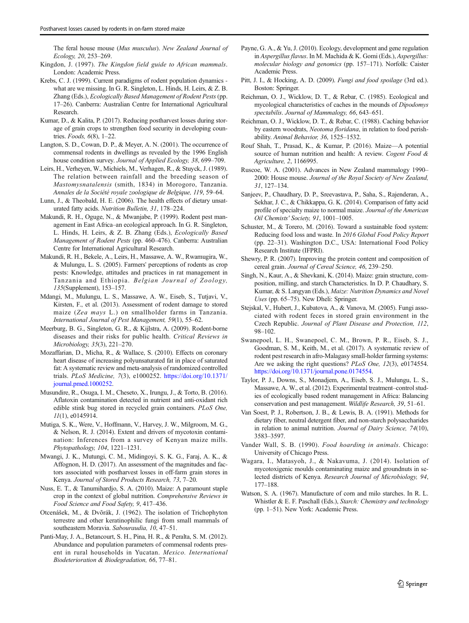The feral house mouse (Mus musculus). New Zealand Journal of Ecology, 20, 253–269.

- Kingdon, J. (1997). The Kingdon field guide to African mammals. London: Academic Press.
- Krebs, C. J. (1999). Current paradigms of rodent population dynamics what are we missing. In G. R. Singleton, L. Hinds, H. Leirs, & Z. B. Zhang (Eds.), Ecologically Based Management of Rodent Pests (pp. 17–26). Canberra: Australian Centre for International Agricultural Research.
- Kumar, D., & Kalita, P. (2017). Reducing postharvest losses during storage of grain crops to strengthen food security in developing countries. Foods, 6(8), 1–22.
- Langton, S. D., Cowan, D. P., & Meyer, A. N. (2001). The occurrence of commensal rodents in dwellings as revealed by the 1996 English house condition survey. Journal of Applied Ecology, 38, 699–709.
- Leirs, H., Verheyen, W., Michiels, M., Verhagen, R., & Stuyck, J. (1989). The relation between rainfall and the breeding season of Mastomysnatalensis (smith, 1834) in Morogoro, Tanzania. Annales de la Société royale zoologique de Belgique, 119, 59–64.
- Lunn, J., & Theobald, H. E. (2006). The health effects of dietary unsaturated fatty acids. Nutrition Bulletin, 31, 178–224.
- Makundi, R. H., Oguge, N., & Mwanjabe, P. (1999). Rodent pest management in East Africa–an ecological approach. In G. R. Singleton, L. Hinds, H. Leirs, & Z. B. Zhang (Eds.), Ecologically Based Management of Rodent Pests (pp. 460–476). Canberra: Australian Centre for International Agricultural Research.
- Makundi, R. H., Bekele, A., Leirs, H., Massawe, A. W., Rwamugira, W., & Mulungu, L. S. (2005). Farmers' perceptions of rodents as crop pests: Knowledge, attitudes and practices in rat management in Tanzania and Ethiopia. Belgian Journal of Zoology, 135(Supplement), 153–157.
- Mdangi, M., Mulungu, L. S., Massawe, A. W., Eiseb, S., Tutjavi, V., Kirsten, F., et al. (2013). Assessment of rodent damage to stored maize (Zea mays L.) on smallholder farms in Tanzania. International Journal of Pest Management, 59(1), 55–62.
- Meerburg, B. G., Singleton, G. R., & Kijlstra, A. (2009). Rodent-borne diseases and their risks for public health. Critical Reviews in Microbiology, 35(3), 221–270.
- Mozaffarian, D., Micha, R., & Wallace, S. (2010). Effects on coronary heart disease of increasing polyunsaturated fat in place of saturated fat: A systematic review and meta-analysis of randomized controlled trials. PLoS Medicine, 7(3), e1000252. https://doi.org/10.1371/ journal.pmed.1000252.
- Musundire, R., Osuga, I. M., Cheseto, X., Irungu, J., & Torto, B. (2016). Aflatoxin contamination detected in nutrient and anti-oxidant rich edible stink bug stored in recycled grain containers. PLoS One, 11(1), e0145914.
- Mutiga, S. K., Were, V., Hoffmann, V., Harvey, J. W., Milgroom, M. G., & Nelson, R. J. (2014). Extent and drivers of mycotoxin contamination: Inferences from a survey of Kenyan maize mills. Phytopathology, 104, 1221–1231.
- Mwangi, J. K., Mutungi, C. M., Midingoyi, S. K. G., Faraj, A. K., & Affognon, H. D. (2017). An assessment of the magnitudes and factors associated with postharvest losses in off-farm grain stores in Kenya. Journal of Stored Products Research, 73, 7–20.
- Nuss, E. T., & Tanumihardjo, S. A. (2010). Maize: A paramount staple crop in the context of global nutrition. Comprehensive Reviews in Food Science and Food Safety, 9, 417–436.
- Otcenášek, M., & Dvõrák, J. (1962). The isolation of Trichophyton terrestre and other keratinophilic fungi from small mammals of southeastern Moravia. Sabouraudia, 10, 47–51.
- Panti-May, J. A., Betancourt, S. H., Pina, H. R., & Peralta, S. M. (2012). Abundance and population parameters of commensal rodents present in rural households in Yucatan. Mexico. International Biodeterioration & Biodegradation, 66, 77–81.
- Payne, G. A., & Yu, J. (2010). Ecology, development and gene regulation in Aspergillus flavus. In M. Machida & K. Gomi (Eds.), Aspergillus: molecular biology and genomics (pp. 157–171). Norfolk: Caister Academic Press.
- Pitt, J. I., & Hocking, A. D. (2009). Fungi and food spoilage (3rd ed.). Boston: Springer.
- Reichman, O. J., Wicklow, D. T., & Rebar, C. (1985). Ecological and mycological characteristics of caches in the mounds of Dipodomys spectabilis. Journal of Mammalogy, 66, 643–651.
- Reichman, O. J., Wicklow, D. T., & Rebar, C. (1988). Caching behavior by eastern woodrats, Neotoma floridana, in relation to food perishability. Animal Behavior, 36, 1525–1532.
- Rouf Shah, T., Prasad, K., & Kumar, P. (2016). Maize—A potential source of human nutrition and health: A review. Cogent Food & Agriculture, 2, 1166995.
- Ruscoe, W. A. (2001). Advances in New Zealand mammalogy 1990– 2000: House mouse. Journal of the Royal Society of New Zealand, 31, 127–134.
- Sanjeev, P., Chaudhary, D. P., Sreevastava, P., Saha, S., Rajenderan, A., Sekhar, J. C., & Chikkappa, G. K. (2014). Comparison of fatty acid profile of specialty maize to normal maize. Journal of the American Oil Chemists' Society, 91, 1001–1005.
- Schuster, M., & Torero, M. (2016). Toward a sustainable food system: Reducing food loss and waste. In 2016 Global Food Policy Report (pp. 22–31). Washington D.C., USA: International Food Policy Research Institute (IFPRI).
- Shewry, P. R. (2007). Improving the protein content and composition of cereal grain. Journal of Cereal Science, 46, 239–250.
- Singh, N., Kaur, A., & Shevkani, K. (2014). Maize: grain structure, composition, milling, and starch Characteristics. In D. P. Chaudhary, S. Kumar, & S. Langyan (Eds.), Maize: Nutrition Dynamics and Novel Uses (pp. 65–75). New Dheli: Springer.
- Stejskal, V., Hubert, J., Kubatova, A., & Vanova, M. (2005). Fungi associated with rodent feces in stored grain environment in the Czech Republic. Journal of Plant Disease and Protection, 112, 98–102.
- Swanepoel, L. H., Swanepoel, C. M., Brown, P. R., Eiseb, S. J., Goodman, S. M., Keith, M., et al. (2017). A systematic review of rodent pest research in afro-Malagasy small-holder farming systems: Are we asking the right questions? PLoS One, 12(3), e0174554. https://doi.org/10.1371/journal.pone.0174554.
- Taylor, P. J., Downs, S., Monadjem, A., Eiseb, S. J., Mulungu, L. S., Massawe, A. W., et al. (2012). Experimental treatment–control studies of ecologically based rodent management in Africa: Balancing conservation and pest management. Wildlife Research, 39, 51–61.
- Van Soest, P. J., Robertson, J. B., & Lewis, B. A. (1991). Methods for dietary fiber, neutral detergent fiber, and non-starch polysaccharides in relation to animal nutrition. Journal of Dairy Science, 74(10), 3583–3597.
- Vander Wall, S. B. (1990). Food hoarding in animals. Chicago: University of Chicago Press.
- Wagara, I., Matasyoh, J., & Nakavuma, J. (2014). Isolation of mycotoxigenic moulds contaminating maize and groundnuts in selected districts of Kenya. Research Journal of Microbiology, 94, 177–188.
- Watson, S. A. (1967). Manufacture of corn and milo starches. In R. L. Whistler & E. F. Paschall (Eds.), Starch: Chemistry and technology (pp. 1–51). New York: Academic Press.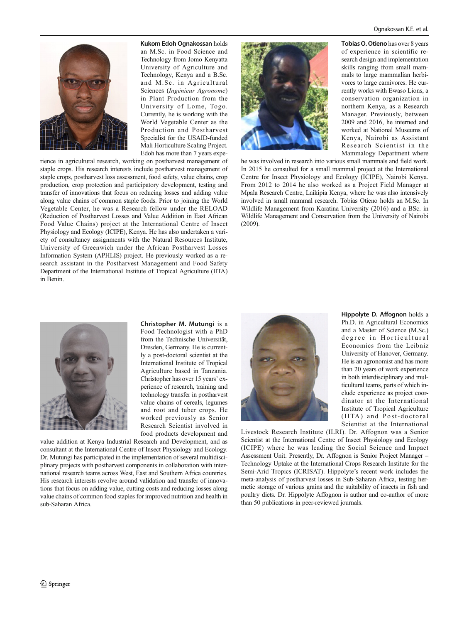

Kukom Edoh Ognakossan holds an M.Sc. in Food Science and Technology from Jomo Kenyatta University of Agriculture and Technology, Kenya and a B.Sc. and M.Sc. in Agricultural Sciences (Ingénieur Agronome) in Plant Production from the University of Lome, Togo. Currently, he is working with the World Vegetable Center as the Production and Postharvest Specialist for the USAID-funded Mali Horticulture Scaling Project. Edoh has more than 7 years expe-

rience in agricultural research, working on postharvest management of staple crops. His research interests include postharvest management of staple crops, postharvest loss assessment, food safety, value chains, crop production, crop protection and participatory development, testing and transfer of innovations that focus on reducing losses and adding value along value chains of common staple foods. Prior to joining the World Vegetable Center, he was a Research fellow under the RELOAD (Reduction of Postharvest Losses and Value Addition in East African Food Value Chains) project at the International Centre of Insect Physiology and Ecology (ICIPE), Kenya. He has also undertaken a variety of consultancy assignments with the Natural Resources Institute, University of Greenwich under the African Postharvest Losses Information System (APHLIS) project. He previously worked as a research assistant in the Postharvest Management and Food Safety Department of the International Institute of Tropical Agriculture (IITA) in Benin.



Tobias O. Otieno has over 8 years of experience in scientific research design and implementation skills ranging from small mammals to large mammalian herbivores to large carnivores. He currently works with Ewaso Lions, a conservation organization in northern Kenya, as a Research Manager. Previously, between 2009 and 2016, he interned and worked at National Museums of Kenya, Nairobi as Assistant Research Scientist in the Mammalogy Department where

he was involved in research into various small mammals and field work. In 2015 he consulted for a small mammal project at the International Centre for Insect Physiology and Ecology (ICIPE), Nairobi Kenya. From 2012 to 2014 he also worked as a Project Field Manager at Mpala Research Centre, Laikipia Kenya, where he was also intensively involved in small mammal research. Tobias Otieno holds an M.Sc. In Wildlife Management from Karatina University (2016) and a BSc. in Wildlife Management and Conservation from the University of Nairobi (2009).



Christopher M. Mutungi is a Food Technologist with a PhD from the Technische Universität, Dresden, Germany. He is currently a post-doctoral scientist at the International Institute of Tropical Agriculture based in Tanzania. Christopher has over 15 years' experience of research, training and technology transfer in postharvest value chains of cereals, legumes and root and tuber crops. He worked previously as Senior Research Scientist involved in food products development and

value addition at Kenya Industrial Research and Development, and as consultant at the International Centre of Insect Physiology and Ecology. Dr. Mutungi has participated in the implementation of several multidisciplinary projects with postharvest components in collaboration with international research teams across West, East and Southern Africa countries. His research interests revolve around validation and transfer of innovations that focus on adding value, cutting costs and reducing losses along value chains of common food staples for improved nutrition and health in sub-Saharan Africa.



Hippolyte D. Affognon holds a Ph.D. in Agricultural Economics and a Master of Science (M.Sc.) degree in Horticultural Economics from the Leibniz University of Hanover, Germany. He is an agronomist and has more than 20 years of work experience in both interdisciplinary and multicultural teams, parts of which include experience as project coordinator at the International Institute of Tropical Agriculture (IITA) and Post-doctoral Scientist at the International

Livestock Research Institute (ILRI). Dr. Affognon was a Senior Scientist at the International Centre of Insect Physiology and Ecology (ICIPE) where he was leading the Social Science and Impact Assessment Unit. Presently, Dr. Affognon is Senior Project Manager – Technology Uptake at the International Crops Research Institute for the Semi-Arid Tropics (ICRISAT). Hippolyte's recent work includes the meta-analysis of postharvest losses in Sub-Saharan Africa, testing hermetic storage of various grains and the suitability of insects in fish and poultry diets. Dr. Hippolyte Affognon is author and co-author of more than 50 publications in peer-reviewed journals.